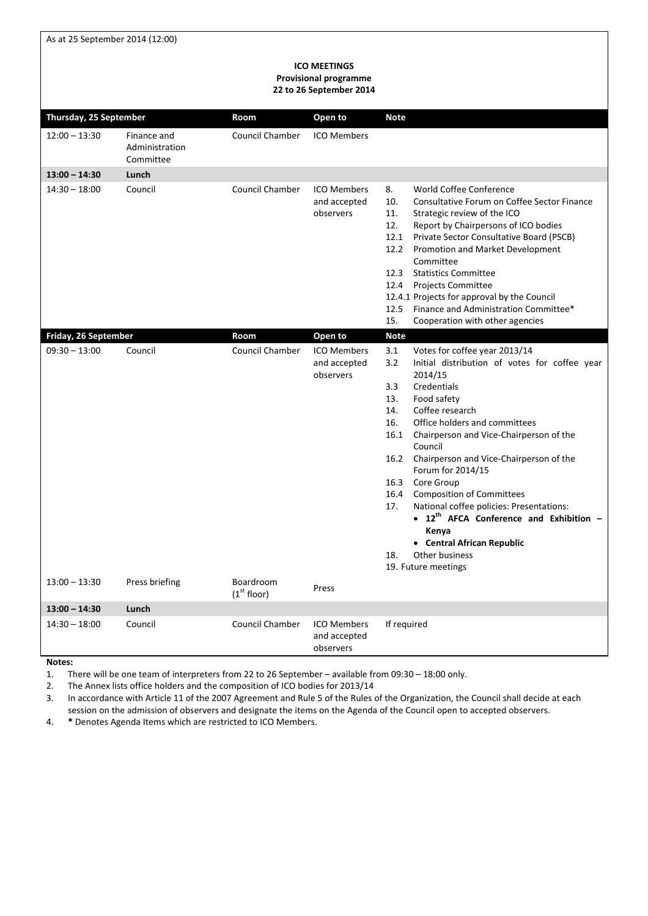As at 25 September 2014 (12:00)

#### **ICO MEETINGS Provisional programme 22 to 26 September 2014**

| Thursday, 25 September                  |                                            | Room                                 | Open to                                                    | <b>Note</b>                                                                                                                                                                                                                                                                                                                                                                                                                                                                                                                                                                                                                |
|-----------------------------------------|--------------------------------------------|--------------------------------------|------------------------------------------------------------|----------------------------------------------------------------------------------------------------------------------------------------------------------------------------------------------------------------------------------------------------------------------------------------------------------------------------------------------------------------------------------------------------------------------------------------------------------------------------------------------------------------------------------------------------------------------------------------------------------------------------|
| $12:00 - 13:30$                         | Finance and<br>Administration<br>Committee | <b>Council Chamber</b>               | <b>ICO Members</b>                                         |                                                                                                                                                                                                                                                                                                                                                                                                                                                                                                                                                                                                                            |
| $13:00 - 14:30$                         | Lunch                                      |                                      |                                                            |                                                                                                                                                                                                                                                                                                                                                                                                                                                                                                                                                                                                                            |
| $14:30 - 18:00$                         | Council                                    | <b>Council Chamber</b>               | <b>ICO Members</b><br>and accepted<br>observers            | World Coffee Conference<br>8.<br>Consultative Forum on Coffee Sector Finance<br>10.<br>Strategic review of the ICO<br>11.<br>Report by Chairpersons of ICO bodies<br>12.<br>12.1 Private Sector Consultative Board (PSCB)<br>12.2 Promotion and Market Development<br>Committee<br>12.3<br><b>Statistics Committee</b><br>12.4<br><b>Projects Committee</b><br>12.4.1 Projects for approval by the Council<br>12.5 Finance and Administration Committee*<br>Cooperation with other agencies<br>15.                                                                                                                         |
| Friday, 26 September<br>$09:30 - 13:00$ | Council                                    | Room<br><b>Council Chamber</b>       | Open to<br><b>ICO Members</b><br>and accepted<br>observers | <b>Note</b><br>3.1<br>Votes for coffee year 2013/14<br>3.2<br>Initial distribution of votes for coffee year<br>2014/15<br>3.3<br>Credentials<br>13.<br>Food safety<br>Coffee research<br>14.<br>Office holders and committees<br>16.<br>16.1 Chairperson and Vice-Chairperson of the<br>Council<br>16.2 Chairperson and Vice-Chairperson of the<br>Forum for 2014/15<br>16.3 Core Group<br>16.4 Composition of Committees<br>National coffee policies: Presentations:<br>17.<br>• 12 <sup>th</sup> AFCA Conference and Exhibition -<br>Kenya<br>• Central African Republic<br>18.<br>Other business<br>19. Future meetings |
| $13:00 - 13:30$                         | Press briefing                             | Boardroom<br>(1 <sup>st</sup> floor) | Press                                                      |                                                                                                                                                                                                                                                                                                                                                                                                                                                                                                                                                                                                                            |
| $13:00 - 14:30$                         | Lunch                                      |                                      |                                                            |                                                                                                                                                                                                                                                                                                                                                                                                                                                                                                                                                                                                                            |
| $14:30 - 18:00$                         | Council                                    | Council Chamber                      | <b>ICO Members</b><br>and accepted<br>observers            | If required                                                                                                                                                                                                                                                                                                                                                                                                                                                                                                                                                                                                                |

**Notes:** 

1. There will be one team of interpreters from 22 to 26 September – available from 09:30 – 18:00 only.

2. The Annex lists office holders and the composition of ICO bodies for 2013/14

3. In accordance with Article 11 of the 2007 Agreement and Rule 5 of the Rules of the Organization, the Council shall decide at each session on the admission of observers and designate the items on the Agenda of the Council open to accepted observers.

4. **\*** Denotes Agenda Items which are restricted to ICO Members.